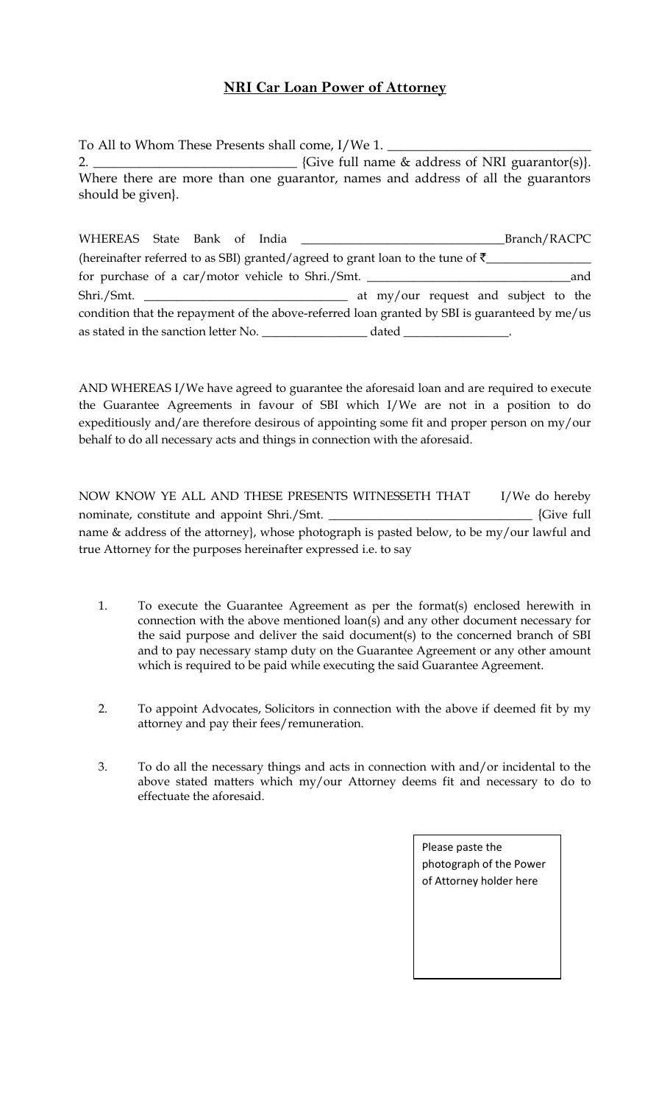## **NRI Car Loan Power of Attorney**

To All to Whom These Presents shall come, I/We 1.  $\_$ 2. \_\_\_\_\_\_\_\_\_\_\_\_\_\_\_\_\_\_\_\_\_\_\_\_\_\_\_\_\_\_\_ {Give full name & address of NRI guarantor(s)}. Where there are more than one guarantor, names and address of all the guarantors should be given}.

| WHEREAS State Bank of India                                                                   |  |                                      | Branch/RACPC |     |
|-----------------------------------------------------------------------------------------------|--|--------------------------------------|--------------|-----|
| (hereinafter referred to as SBI) granted/agreed to grant loan to the tune of $\bar{\tau}$     |  |                                      |              |     |
| for purchase of a car/motor vehicle to Shri./Smt. ______________________________              |  |                                      |              | and |
|                                                                                               |  | at my/our request and subject to the |              |     |
| condition that the repayment of the above-referred loan granted by SBI is guaranteed by me/us |  |                                      |              |     |
| as stated in the sanction letter No.                                                          |  |                                      |              |     |

AND WHEREAS I/We have agreed to guarantee the aforesaid loan and are required to execute the Guarantee Agreements in favour of SBI which I/We are not in a position to do expeditiously and/are therefore desirous of appointing some fit and proper person on my/our behalf to do all necessary acts and things in connection with the aforesaid.

NOW KNOW YE ALL AND THESE PRESENTS WITNESSETH THAT I/We do hereby nominate, constitute and appoint Shri./Smt. \_\_\_\_\_\_\_\_\_\_\_\_\_\_\_\_\_\_\_\_\_\_\_\_\_\_\_\_\_\_\_ {Give full name & address of the attorney}, whose photograph is pasted below, to be my/our lawful and true Attorney for the purposes hereinafter expressed i.e. to say

- 1. To execute the Guarantee Agreement as per the format(s) enclosed herewith in connection with the above mentioned loan(s) and any other document necessary for the said purpose and deliver the said document(s) to the concerned branch of SBI and to pay necessary stamp duty on the Guarantee Agreement or any other amount which is required to be paid while executing the said Guarantee Agreement.
- 2. To appoint Advocates, Solicitors in connection with the above if deemed fit by my attorney and pay their fees/remuneration.
- 3. To do all the necessary things and acts in connection with and/or incidental to the above stated matters which my/our Attorney deems fit and necessary to do to effectuate the aforesaid.

Please paste the photograph of the Power of Attorney holder here